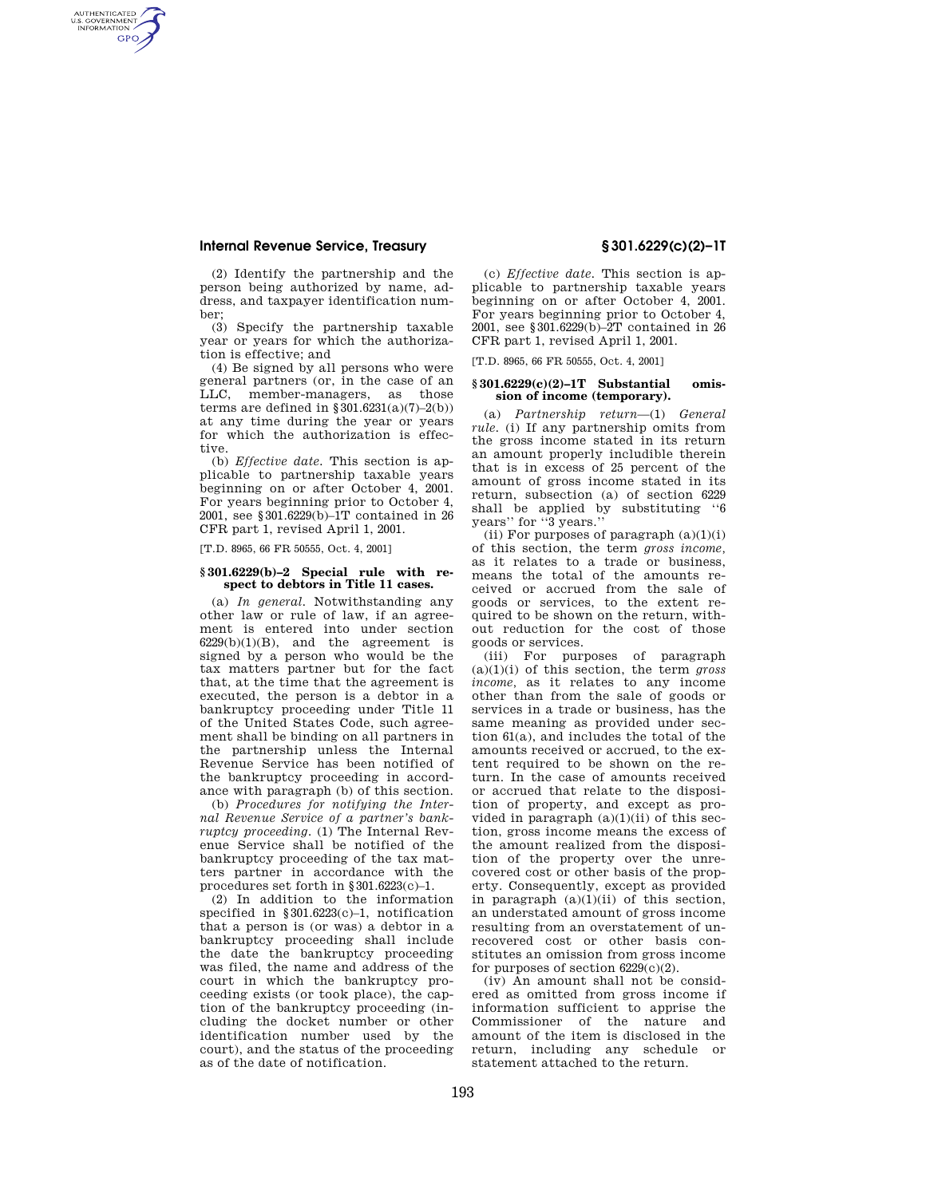# **Internal Revenue Service, Treasury § 301.6229(c)(2)–1T**

AUTHENTICATED<br>U.S. GOVERNMENT<br>INFORMATION **GPO** 

> (2) Identify the partnership and the person being authorized by name, address, and taxpayer identification number;

> (3) Specify the partnership taxable year or years for which the authorization is effective; and

> (4) Be signed by all persons who were general partners (or, in the case of an LLC, member-managers, as those terms are defined in  $\S$ 301.6231(a)(7)-2(b)) at any time during the year or years for which the authorization is effective.

> (b) *Effective date.* This section is applicable to partnership taxable years beginning on or after October 4, 2001. For years beginning prior to October 4, 2001, see §301.6229(b)–1T contained in 26 CFR part 1, revised April 1, 2001.

[T.D. 8965, 66 FR 50555, Oct. 4, 2001]

# **§ 301.6229(b)–2 Special rule with re**spect to debtors in Title 11 cases.

(a) *In general.* Notwithstanding any other law or rule of law, if an agreement is entered into under section  $6229(b)(1)(B)$ , and the agreement is signed by a person who would be the tax matters partner but for the fact that, at the time that the agreement is executed, the person is a debtor in a bankruptcy proceeding under Title 11 of the United States Code, such agreement shall be binding on all partners in the partnership unless the Internal Revenue Service has been notified of the bankruptcy proceeding in accordance with paragraph (b) of this section.

(b) *Procedures for notifying the Internal Revenue Service of a partner's bankruptcy proceeding.* (1) The Internal Revenue Service shall be notified of the bankruptcy proceeding of the tax matters partner in accordance with the procedures set forth in §301.6223(c)–1.

(2) In addition to the information specified in §301.6223(c)–1, notification that a person is (or was) a debtor in a bankruptcy proceeding shall include the date the bankruptcy proceeding was filed, the name and address of the court in which the bankruptcy proceeding exists (or took place), the caption of the bankruptcy proceeding (including the docket number or other identification number used by the court), and the status of the proceeding as of the date of notification.

(c) *Effective date.* This section is applicable to partnership taxable years beginning on or after October 4, 2001. For years beginning prior to October 4, 2001, see §301.6229(b)–2T contained in 26 CFR part 1, revised April 1, 2001.

[T.D. 8965, 66 FR 50555, Oct. 4, 2001]

## **§ 301.6229(c)(2)–1T Substantial omission of income (temporary).**

(a) *Partnership return*—(1) *General rule.* (i) If any partnership omits from the gross income stated in its return an amount properly includible therein that is in excess of 25 percent of the amount of gross income stated in its return, subsection (a) of section 6229 shall be applied by substituting ''6 years'' for ''3 years.''

(ii) For purposes of paragraph  $(a)(1)(i)$ of this section, the term *gross income,*  as it relates to a trade or business, means the total of the amounts received or accrued from the sale of goods or services, to the extent required to be shown on the return, without reduction for the cost of those goods or services.

(iii) For purposes of paragraph (a)(1)(i) of this section, the term *gross income,* as it relates to any income other than from the sale of goods or services in a trade or business, has the same meaning as provided under section 61(a), and includes the total of the amounts received or accrued, to the extent required to be shown on the return. In the case of amounts received or accrued that relate to the disposition of property, and except as provided in paragraph  $(a)(1)(ii)$  of this section, gross income means the excess of the amount realized from the disposition of the property over the unrecovered cost or other basis of the property. Consequently, except as provided in paragraph  $(a)(1)(ii)$  of this section, an understated amount of gross income resulting from an overstatement of unrecovered cost or other basis constitutes an omission from gross income for purposes of section  $6229(c)(2)$ .

(iv) An amount shall not be considered as omitted from gross income if information sufficient to apprise the Commissioner of the nature and amount of the item is disclosed in the return, including any schedule or statement attached to the return.